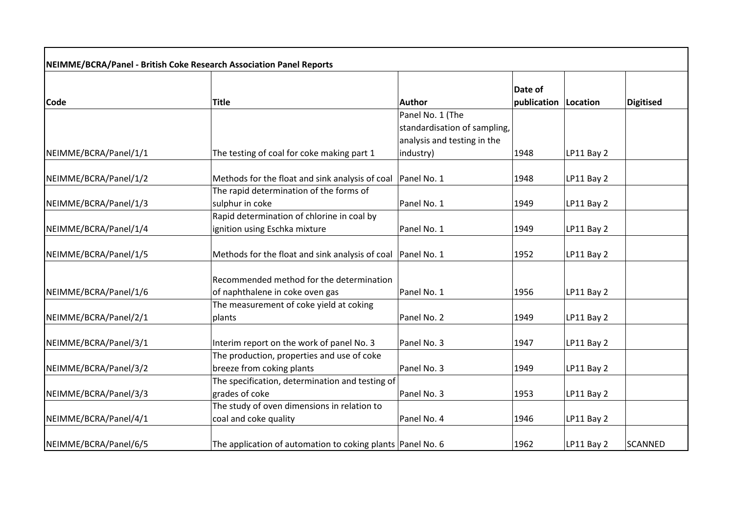| NEIMME/BCRA/Panel - British Coke Research Association Panel Reports |                                                               |                                                  |                        |            |                  |  |  |
|---------------------------------------------------------------------|---------------------------------------------------------------|--------------------------------------------------|------------------------|------------|------------------|--|--|
| <b>Code</b>                                                         | <b>Title</b>                                                  | Author                                           | Date of<br>publication | Location   | <b>Digitised</b> |  |  |
|                                                                     |                                                               | Panel No. 1 (The<br>standardisation of sampling, |                        |            |                  |  |  |
|                                                                     |                                                               | analysis and testing in the                      |                        |            |                  |  |  |
| NEIMME/BCRA/Panel/1/1                                               | The testing of coal for coke making part 1                    | industry)                                        | 1948                   | LP11 Bay 2 |                  |  |  |
| NEIMME/BCRA/Panel/1/2                                               | Methods for the float and sink analysis of coal               | Panel No. 1                                      | 1948                   | LP11 Bay 2 |                  |  |  |
|                                                                     | The rapid determination of the forms of                       |                                                  |                        |            |                  |  |  |
| NEIMME/BCRA/Panel/1/3                                               | sulphur in coke                                               | Panel No. 1                                      | 1949                   | LP11 Bay 2 |                  |  |  |
|                                                                     | Rapid determination of chlorine in coal by                    |                                                  |                        |            |                  |  |  |
| NEIMME/BCRA/Panel/1/4                                               | ignition using Eschka mixture                                 | Panel No. 1                                      | 1949                   | LP11 Bay 2 |                  |  |  |
| NEIMME/BCRA/Panel/1/5                                               | Methods for the float and sink analysis of coal   Panel No. 1 |                                                  | 1952                   | LP11 Bay 2 |                  |  |  |
|                                                                     | Recommended method for the determination                      |                                                  |                        |            |                  |  |  |
| NEIMME/BCRA/Panel/1/6                                               | of naphthalene in coke oven gas                               | Panel No. 1                                      | 1956                   | LP11 Bay 2 |                  |  |  |
|                                                                     | The measurement of coke yield at coking                       |                                                  |                        |            |                  |  |  |
| NEIMME/BCRA/Panel/2/1                                               | plants                                                        | Panel No. 2                                      | 1949                   | LP11 Bay 2 |                  |  |  |
| NEIMME/BCRA/Panel/3/1                                               | Interim report on the work of panel No. 3                     | Panel No. 3                                      | 1947                   | LP11 Bay 2 |                  |  |  |
|                                                                     | The production, properties and use of coke                    |                                                  |                        |            |                  |  |  |
| NEIMME/BCRA/Panel/3/2                                               | breeze from coking plants                                     | Panel No. 3                                      | 1949                   | LP11 Bay 2 |                  |  |  |
|                                                                     | The specification, determination and testing of               |                                                  |                        |            |                  |  |  |
| NEIMME/BCRA/Panel/3/3                                               | grades of coke                                                | Panel No. 3                                      | 1953                   | LP11 Bay 2 |                  |  |  |
|                                                                     | The study of oven dimensions in relation to                   |                                                  |                        |            |                  |  |  |
| NEIMME/BCRA/Panel/4/1                                               | coal and coke quality                                         | Panel No. 4                                      | 1946                   | LP11 Bay 2 |                  |  |  |
| NEIMME/BCRA/Panel/6/5                                               | The application of automation to coking plants   Panel No. 6  |                                                  | 1962                   | LP11 Bay 2 | <b>SCANNED</b>   |  |  |